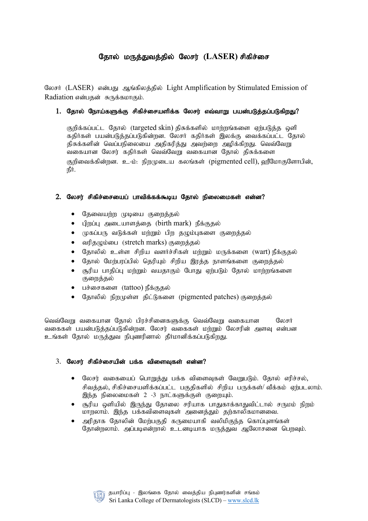# தோல் மருத்துவத்தில் லேசர் (LASER) சிகிச்சை

லேசர் (LASER) என்பது ஆங்கிலத்தில் Light Amplification by Stimulated Emission of Radiation என்பதன் சுருக்கமாகும்.

## 1. தோல் நோய்களுக்கு சிகிச்சையளிக்க லேசர் எவ்வாறு பயன்படுத்தப்படுகிறது?

குறிக்கப்பட்ட தோல் (targeted skin) திசுக்களில் மாற்றங்களை ஏற்படுக்க ஒளி கதிர்கள் பயன்படுத்தப்படுகின்றன. லேசர் கதிர்கள் இலக்கு வைக்கப்பட்ட தோல் திசுக்களின் வெப்பநிலையை அதிகரித்து அவற்றை அழிக்கிறது. வெவ்வேறு வகையான லேசர் கதிர்கள் வெவ்வேறு வகையான தோல் திசுக்களை குறிவைக்கின்றன. உ-ம்: நிறமுடைய கலங்கள் (pigmented cell), ஹீமோகுளோபின், நீர்.

## $2.$  லேசர் சிகிச்சையைப் பாவிக்கக்கூடிய தோல் நிலைமைகள் என்ன?

- தேவையற்ற முடியை குறைத்தல்
- பிறப்பு அடையாளத்தை (birth mark) நீக்குதல்
- $\bullet$  (முகப்பரு வடுக்கள் மற்றும் பிற தழும்புகளை குறைத்தல்
- வரிதமும்பை (stretch marks) குறைத்தல்
- தோலில் உள்ள சிறிய வளர்ச்சிகள் மற்றும் மருக்களை (wart) நீக்குதல்
- தோல் மேற்பரப்பில் தெரியும் சிறிய இரத்த நாளங்களை குறைத்தல்
- சூரிய பாதிப்பு மற்றும் வயதாகும் போது ஏற்படும் தோல் மாற்றங்களை குறைத்தல்
- பச்சைகளை (tattoo) நீக்குதல்
- தோலில் நிறமுள்ள திட்டுகளை (pigmented patches) குறைத்தல்

வெவ்வேறு வகையான தோல் பிரச்சினைகளுக்கு வெவ்வேறு வகையான லேசர் வகைகள் பயன்படுக்கப்படுகின்றன. லேசர் வகைகள் மற்றும் லேசரின் அளவு என்பன உங்கள் கோல் மருக்குவ நிபணரினால் கீர்மானிக்கப்படுகிறது.

## $3.$  லேசர் சிகிச்சையின் பக்க விளைவுகள் என்ன?

- $\bullet$  கலசர் வகையைப் பொறுத்து பக்க விளைவுகள் வேறுபடும். தோல் எரிச்சல், சிவத்தல், சிகிச்சையளிக்கப்பட்ட பகுதிகளில் சிறிய பருக்கள்/ வீக்கம் ஏற்படலாம். இந்த நிலைமைகள் 2 -3 நாட்களுக்குள் குறையும்.
- சூரிய ஒளியில் இருந்து தோலை சரியாக பாதுகாக்காதுவிட்டால் சருமம் நிறம் மாறலாம். இந்த பக்கவிளைவுகள் அனைத்தும் தற்காலிகமானவை.
- அரிதாக தோலின் மேற்பகுதி கருமையாகி வலிமிகுந்த கொப்புளங்கள் தோன்றலாம். அப்படிஎன்றால் உடனடியாக மருத்துவ ஆலோசனை பெறவும்.